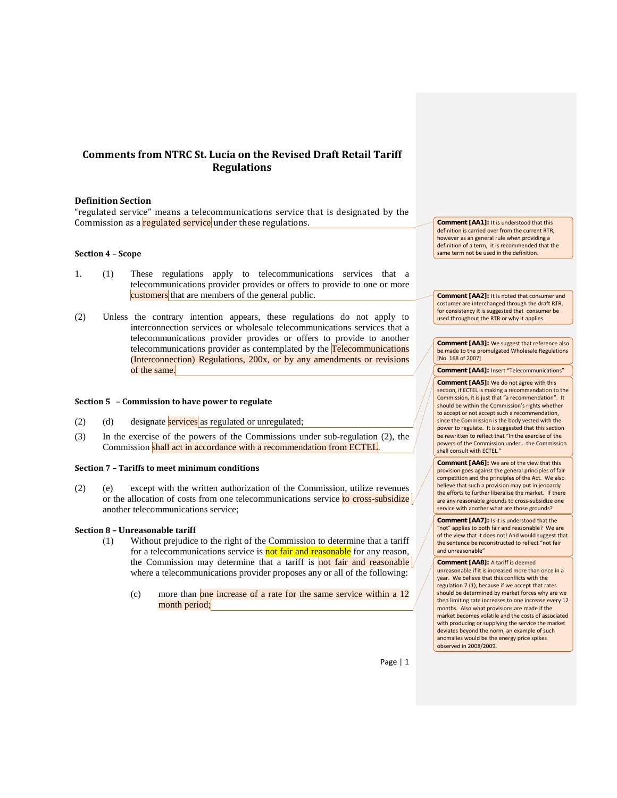# **Comments from NTRC St. Lucia on the Revised Draft Retail Tariff Regulations**

### **Definition Section**

"regulated service" means a telecommunications service that is designated by the Commission as a regulated service under these regulations.

# **Section 4 – Scope**

- 1. (1) These regulations apply to telecommunications services that a telecommunications provider provides or offers to provide to one or more customers that are members of the general public.
- (2) Unless the contrary intention appears, these regulations do not apply to interconnection services or wholesale telecommunications services that a telecommunications provider provides or offers to provide to another telecommunications provider as contemplated by the Telecommunications (Interconnection) Regulations, 200x, or by any amendments or revisions of the same.

#### **Section 5 – Commission to have power to regulate**

- (2) (d) designate services as regulated or unregulated;
- (3) In the exercise of the powers of the Commissions under sub-regulation (2), the Commission shall act in accordance with a recommendation from ECTEL.

#### **Section 7 – Tariffs to meet minimum conditions**

(2) (e) except with the written authorization of the Commission, utilize revenues or the allocation of costs from one telecommunications service to cross-subsidize another telecommunications service;

### **Section 8 – Unreasonable tariff**

- (1) Without prejudice to the right of the Commission to determine that a tariff for a telecommunications service is not fair and reasonable for any reason, the Commission may determine that a tariff is not fair and reasonable  $\sqrt{\frac{1}{n}}$ where a telecommunications provider proposes any or all of the following:
	- (c) more than one increase of a rate for the same service within a 12 month period;

**Comment [AA1]:** It is understood that this definition is carried over from the current RTR, however as an general rule when providing a definition of a term, it is recommended that the same term not be used in the definition.

**Comment [AA2]:** It is noted that consumer and costumer are interchanged through the draft RTR, for consistency it is suggested that consumer be used throughout the RTR or why it applies.

**Comment [AA3]:** We suggest that reference also be made to the promulgated Wholesale Regulations [No. 168 of 2007]

**Comment [AA4]: Insert "Telecommunications"** 

**Comment [AA5]:** We do not agree with this section, if ECTEL is making a recommendation to the Commission, it is just that "a recommendation". It should be within the Commission's rights whether to accept or not accept such a recommendation, since the Commission is the body vested with the power to regulate. It is suggested that this section be rewritten to reflect that "In the exercise of the powers of the Commission under… the Commission shall consult with ECTEL."

**Comment [AA6]:** We are of the view that this provision goes against the general principles of fair competition and the principles of the Act. We also believe that such a provision may put in jeopardy the efforts to further liberalise the market. If there are any reasonable grounds to cross-subsidize one service with another what are those grounds?

**Comment [AA7]:** Is it is understood that the "not" applies to both fair and reasonable? We are of the view that it does not! And would suggest that the sentence be reconstructed to reflect "not fair and unreasonable"

**Comment [AA8]:** A tariff is deemed unreasonable if it is increased more than once in a year. We believe that this conflicts with the regulation 7 (1), because if we accept that rates should be determined by market forces why are we then limiting rate increases to one increase every 12 months. Also what provisions are made if the market becomes volatile and the costs of associated with producing or supplying the service the market deviates beyond the norm, an example of such anomalies would be the energy price spikes observed in 2008/2009.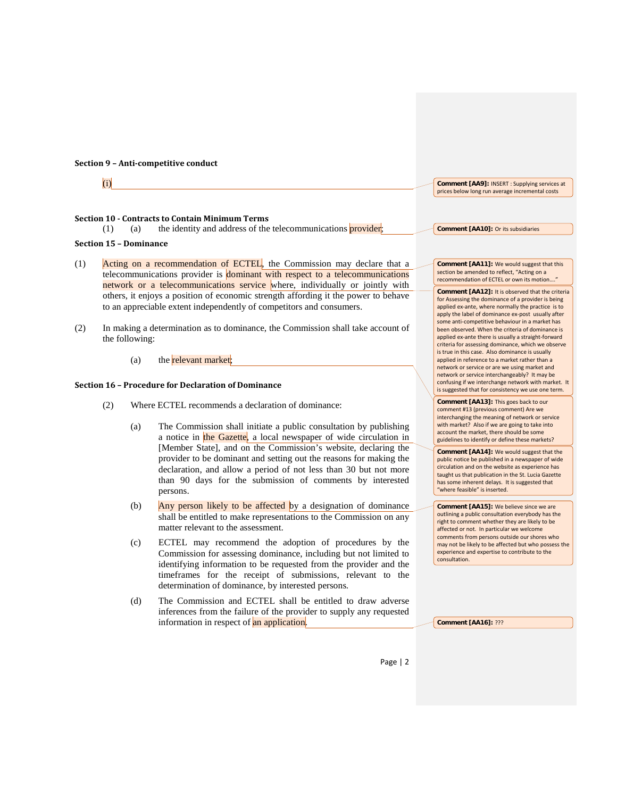#### **Section 9 – Anti-competitive conduct**

(i)

# **Section 10 - Contracts to Contain Minimum Terms**

 $(1)$  (a) the identity and address of the telecommunications provider;

# **Section 15 – Dominance**

- (1) Acting on a recommendation of ECTEL, the Commission may declare that a telecommunications provider is dominant with respect to a telecommunications network or a telecommunications service where, individually or jointly with others, it enjoys a position of economic strength affording it the power to behave to an appreciable extent independently of competitors and consumers.
- (2) In making a determination as to dominance, the Commission shall take account of the following:
	- (a) the relevant market;

### **Section 16 – Procedure for Declaration of Dominance**

- (2) Where ECTEL recommends a declaration of dominance:
	- (a) The Commission shall initiate a public consultation by publishing a notice in the Gazette, a local newspaper of wide circulation in [Member State], and on the Commission's website, declaring the provider to be dominant and setting out the reasons for making the declaration, and allow a period of not less than 30 but not more than 90 days for the submission of comments by interested persons.
	- (b) Any person likely to be affected by a designation of dominance shall be entitled to make representations to the Commission on any matter relevant to the assessment.
	- (c) ECTEL may recommend the adoption of procedures by the Commission for assessing dominance, including but not limited to identifying information to be requested from the provider and the timeframes for the receipt of submissions, relevant to the determination of dominance, by interested persons.
	- (d) The Commission and ECTEL shall be entitled to draw adverse inferences from the failure of the provider to supply any requested information in respect of an application.

**Comment [AA9]:** INSERT : Supplying services at prices below long run average incremental costs

**Comment [AA10]:** Or its subsidiaries

**Comment [AA11]:** We would suggest that this section be amended to reflect, "Acting on a recommendation of ECTEL or own its motion..

**Comment [AA12]:** It is observed that the criteria for Assessing the dominance of a provider is being applied ex-ante, where normally the practice is to apply the label of dominance ex-post usually after some anti-competitive behaviour in a market has been observed. When the criteria of dominance is applied ex-ante there is usually a straight-forward criteria for assessing dominance, which we observe is true in this case. Also dominance is usually applied in reference to a market rather than a network or service or are we using market and network or service interchangeably? It may be confusing if we interchange network with market. It is suggested that for consistency we use one term.

**Comment [AA13]:** This goes back to our comment #13 (previous comment) Are we interchanging the meaning of network or service with market? Also if we are going to take into account the market, there should be some guidelines to identify or define these markets?

**Comment [AA14]:** We would suggest that the public notice be published in a newspaper of wide circulation and on the website as experience has taught us that publication in the St. Lucia Gazette has some inherent delays. It is suggested that "where feasible" is inserted.

**Comment [AA15]:** We believe since we are outlining a public consultation everybody has the right to comment whether they are likely to be affected or not. In particular we welcome comments from persons outside our shores who may not be likely to be affected but who possess the experience and expertise to contribute to the consultation.

**Comment [AA16]:** ???

Page | 2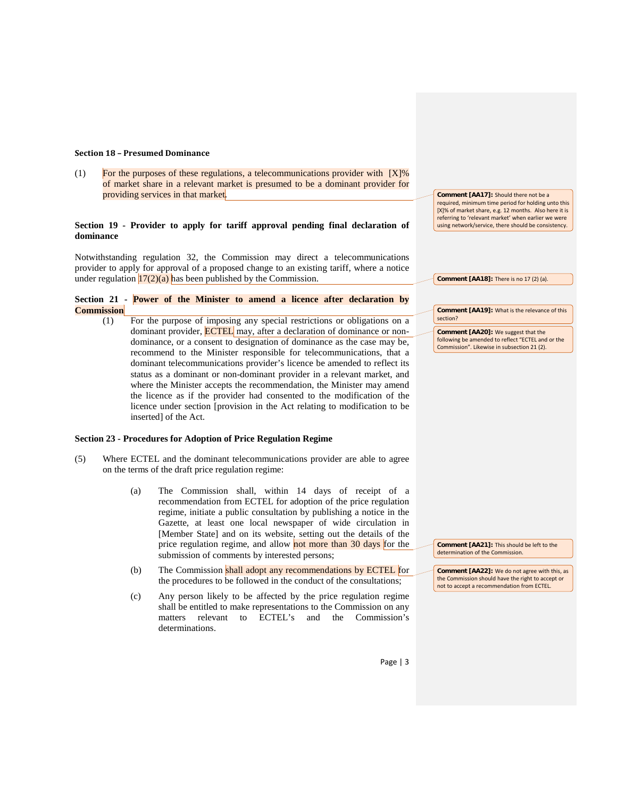#### **Section 18 – Presumed Dominance**

(1) For the purposes of these regulations, a telecommunications provider with  $[X]\%$ of market share in a relevant market is presumed to be a dominant provider for providing services in that market.

### **Section 19 - Provider to apply for tariff approval pending final declaration of dominance**

Notwithstanding regulation 32, the Commission may direct a telecommunications provider to apply for approval of a proposed change to an existing tariff, where a notice under regulation  $17(2)(a)$  has been published by the Commission.

```
Section 21 - Power of the Minister to amend a licence after declaration by 
Commission
```
(1) For the purpose of imposing any special restrictions or obligations on a dominant provider, **ECTEL** may, after a declaration of dominance or nondominance, or a consent to designation of dominance as the case may be, recommend to the Minister responsible for telecommunications, that a dominant telecommunications provider's licence be amended to reflect its status as a dominant or non-dominant provider in a relevant market, and where the Minister accepts the recommendation, the Minister may amend the licence as if the provider had consented to the modification of the licence under section [provision in the Act relating to modification to be inserted] of the Act.

### **Section 23 - Procedures for Adoption of Price Regulation Regime**

- (5) Where ECTEL and the dominant telecommunications provider are able to agree on the terms of the draft price regulation regime:
	- (a) The Commission shall, within 14 days of receipt of a recommendation from ECTEL for adoption of the price regulation regime, initiate a public consultation by publishing a notice in the Gazette, at least one local newspaper of wide circulation in [Member State] and on its website, setting out the details of the price regulation regime, and allow not more than 30 days for the submission of comments by interested persons;
	- (b) The Commission shall adopt any recommendations by ECTEL for the procedures to be followed in the conduct of the consultations;
	- (c) Any person likely to be affected by the price regulation regime shall be entitled to make representations to the Commission on any matters relevant to ECTEL's and the Commission's determinations.

**Comment [AA17]:** Should there not be a required, minimum time period for holding unto this [X]% of market share, e.g. 12 months. Also here it is referring to 'relevant market' when earlier we were using network/service, there should be consistency.

**Comment [AA18]:** There is no 17 (2) (a).

**Comment [AA19]:** What is the relevance of this section?

**Comment [AA20]:** We suggest that the following be amended to reflect "ECTEL and or the Commission". Likewise in subsection 21 (2).

**Comment [AA21]:** This should be left to the determination of the Commission.

**Comment [AA22]:** We do not agree with this, as the Commission should have the right to accept or not to accept a recommendation from ECTEL.

Page | 3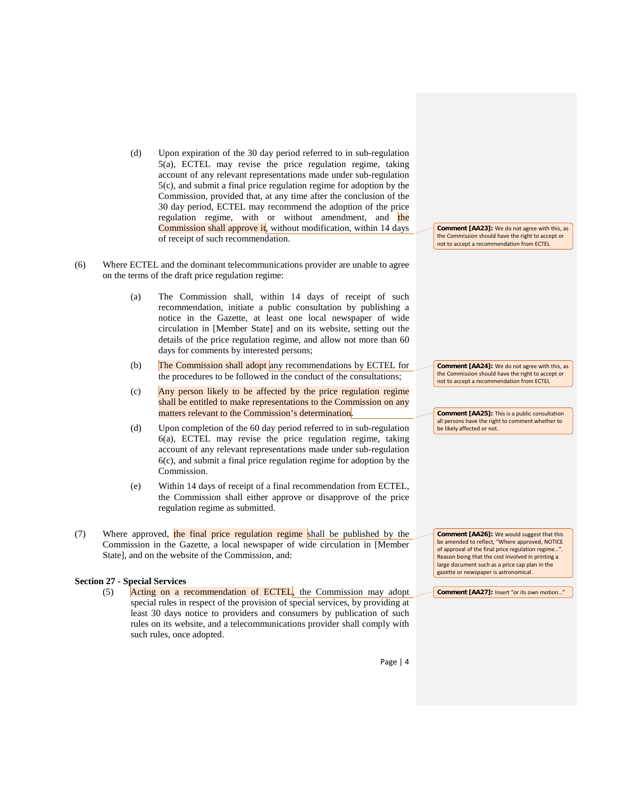- (d) Upon expiration of the 30 day period referred to in sub-regulation 5(a), ECTEL may revise the price regulation regime, taking account of any relevant representations made under sub-regulation 5(c), and submit a final price regulation regime for adoption by the Commission, provided that, at any time after the conclusion of the 30 day period, ECTEL may recommend the adoption of the price regulation regime, with or without amendment, and the Commission shall approve it, without modification, within 14 days of receipt of such recommendation.
- (6) Where ECTEL and the dominant telecommunications provider are unable to agree on the terms of the draft price regulation regime:
	- (a) The Commission shall, within 14 days of receipt of such recommendation, initiate a public consultation by publishing a notice in the Gazette, at least one local newspaper of wide circulation in [Member State] and on its website, setting out the details of the price regulation regime, and allow not more than 60 days for comments by interested persons;
	- (b) The Commission shall adopt any recommendations by ECTEL for the procedures to be followed in the conduct of the consultations;
	- (c) Any person likely to be affected by the price regulation regime shall be entitled to make representations to the Commission on any matters relevant to the Commission's determination.
	- (d) Upon completion of the 60 day period referred to in sub-regulation 6(a), ECTEL may revise the price regulation regime, taking account of any relevant representations made under sub-regulation 6(c), and submit a final price regulation regime for adoption by the Commission.
	- (e) Within 14 days of receipt of a final recommendation from ECTEL, the Commission shall either approve or disapprove of the price regulation regime as submitted.
- (7) Where approved, the final price regulation regime shall be published by the Commission in the Gazette, a local newspaper of wide circulation in [Member State], and on the website of the Commission, and:

# **Section 27 - Special Services**

(5) Acting on a recommendation of ECTEL, the Commission may adopt special rules in respect of the provision of special services, by providing at least 30 days notice to providers and consumers by publication of such rules on its website, and a telecommunications provider shall comply with such rules, once adopted.

**Comment [AA23]:** We do not agree with this, as the Commission should have the right to accept or not to accept a recommendation from ECTEL

**Comment [AA24]:** We do not agree with this, as the Commission should have the right to accept or not to accept a recommendation from ECTEL

**Comment [AA25]:** This is a public consultation all persons have the right to comment whether to be likely affected or not.

**Comment [AA26]:** We would suggest that this be amended to reflect, "Where approved, NOTICE of approval of the final price regulation regime...' Reason being that the cost involved in printing a large document such as a price cap plan in the gazette or newspaper is astronomical.

**Comment [AA27]:** Insert "or its own motion…"

Page | 4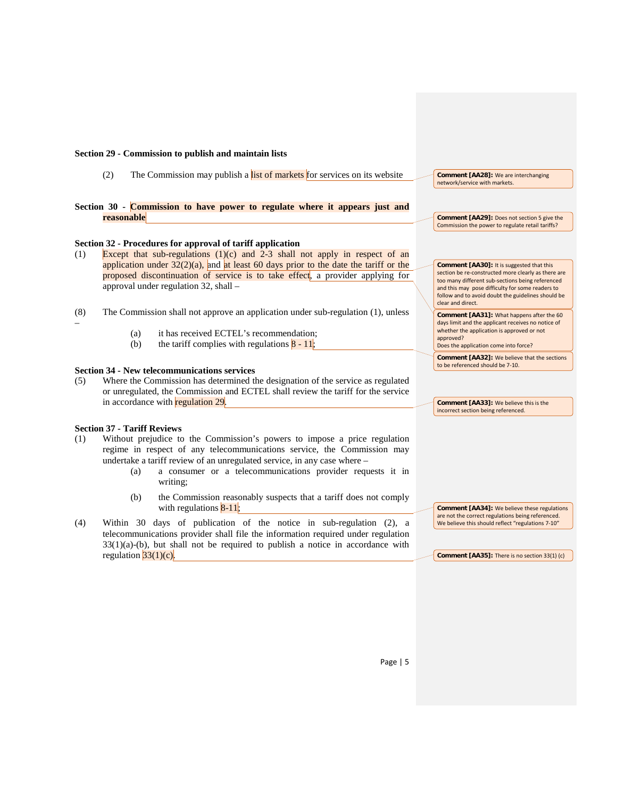### **Section 29 - Commission to publish and maintain lists**

- (2) The Commission may publish a list of markets for services on its website
- **Section 30 - Commission to have power to regulate where it appears just and reasonable**

### **Section 32 - Procedures for approval of tariff application**

- (1) Except that sub-regulations (1)(c) and 2-3 shall not apply in respect of an application under  $32(2)(a)$ , and at least 60 days prior to the date the tariff or the proposed discontinuation of service is to take effect, a provider applying for approval under regulation 32, shall –
- (8) The Commission shall not approve an application under sub-regulation (1), unless
	- (a) it has received ECTEL's recommendation;
	- (b) the tariff complies with regulations  $8 11$ ;

# **Section 34 - New telecommunications services**

(5) Where the Commission has determined the designation of the service as regulated or unregulated, the Commission and ECTEL shall review the tariff for the service in accordance with **regulation 29**.

## **Section 37 - Tariff Reviews**

–

- (1) Without prejudice to the Commission's powers to impose a price regulation regime in respect of any telecommunications service, the Commission may undertake a tariff review of an unregulated service, in any case where –
	- (a) a consumer or a telecommunications provider requests it in writing;
	- (b) the Commission reasonably suspects that a tariff does not comply with regulations  $8-11$ ;
- (4) Within 30 days of publication of the notice in sub-regulation (2), a telecommunications provider shall file the information required under regulation  $33(1)(a)-(b)$ , but shall not be required to publish a notice in accordance with regulation  $33(1)(c)$ .

**Comment [AA28]:** We are interchanging network/service with markets.

**Comment [AA29]:** Does not section 5 give the Commission the power to regulate retail tariffs?

**Comment [AA30]:** It is suggested that this section be re-constructed more clearly as there are too many different sub-sections being referenced and this may pose difficulty for some readers to follow and to avoid doubt the guidelines should be clear and direct.

**Comment [AA31]:** What happens after the 60 days limit and the applicant receives no notice of whether the application is approved or not approved? Does the application come into force?

**Comment [AA32]:** We believe that the sections

to be referenced should be 7-10.

**Comment [AA33]:** We believe this is the incorrect section being referenced.

**Comment [AA34]:** We believe these regulations are not the correct regulations being referenced. We believe this should reflect "regulations 7-10"

**Comment [AA35]:** There is no section 33(1) (c)